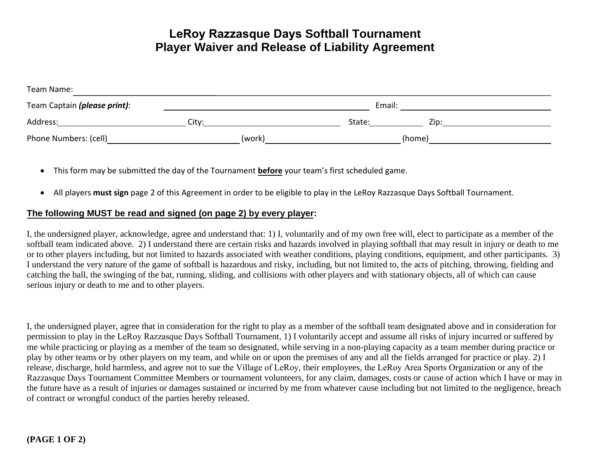## **LeRoy Razzasque Days Softball Tournament Player Waiver and Release of Liability Agreement**

| Team Name:                   |        |                |  |  |  |
|------------------------------|--------|----------------|--|--|--|
| Team Captain (please print): | Email: |                |  |  |  |
| Address:                     | City:  | State:<br>Zip: |  |  |  |
| Phone Numbers: (cell)        | (work) | (home)         |  |  |  |

- This form may be submitted the day of the Tournament **before** your team's first scheduled game.
- All players **must sign** page 2 of this Agreement in order to be eligible to play in the LeRoy Razzasque Days Softball Tournament.

## **The following MUST be read and signed (on page 2) by every player:**

I, the undersigned player, acknowledge, agree and understand that: 1) I, voluntarily and of my own free will, elect to participate as a member of the softball team indicated above. 2) I understand there are certain risks and hazards involved in playing softball that may result in injury or death to me or to other players including, but not limited to hazards associated with weather conditions, playing conditions, equipment, and other participants. 3) I understand the very nature of the game of softball is hazardous and risky, including, but not limited to, the acts of pitching, throwing, fielding and catching the ball, the swinging of the bat, running, sliding, and collisions with other players and with stationary objects, all of which can cause serious injury or death to me and to other players.

I, the undersigned player, agree that in consideration for the right to play as a member of the softball team designated above and in consideration for permission to play in the LeRoy Razzasque Days Softball Tournament, 1) I voluntarily accept and assume all risks of injury incurred or suffered by me while practicing or playing as a member of the team so designated, while serving in a non-playing capacity as a team member during practice or play by other teams or by other players on my team, and while on or upon the premises of any and all the fields arranged for practice or play. 2) I release, discharge, hold harmless, and agree not to sue the Village of LeRoy, their employees, the LeRoy Area Sports Organization or any of the Razzasque Days Tournament Committee Members or tournament volunteers, for any claim, damages, costs or cause of action which I have or may in the future have as a result of injuries or damages sustained or incurred by me from whatever cause including but not limited to the negligence, breach of contract or wrongful conduct of the parties hereby released.

## **(PAGE 1 OF 2)**